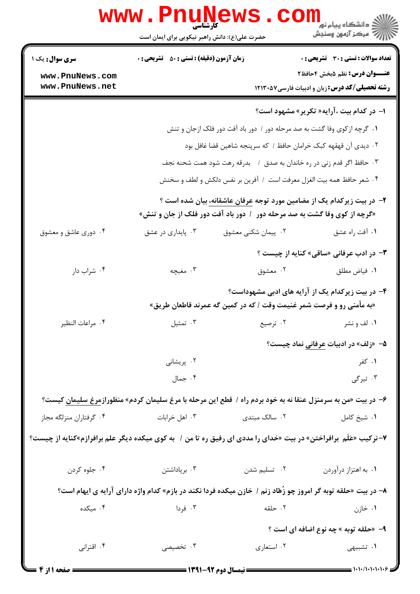| www.PnuNews<br>ران دانشگاه پيام نور <mark>− ا</mark><br>ا <mark>ر</mark> √مرکز آزمون وسنجش                          |                                                                                |                                                    |                                                                                                             |  |  |  |
|---------------------------------------------------------------------------------------------------------------------|--------------------------------------------------------------------------------|----------------------------------------------------|-------------------------------------------------------------------------------------------------------------|--|--|--|
|                                                                                                                     | حضرت علی(ع): دانش راهبر نیکویی برای ایمان است                                  |                                                    |                                                                                                             |  |  |  |
| <b>سری سوال :</b> یک ۱                                                                                              | <b>زمان آزمون (دقیقه) : تستی : 50 ٪ تشریحی : 0</b>                             |                                                    | تعداد سوالات : تستي : 30 - تشريحي : 0                                                                       |  |  |  |
| www.PnuNews.com                                                                                                     |                                                                                |                                                    | <b>عنـــوان درس:</b> نظم ۵بخش ۴حافظ۲                                                                        |  |  |  |
| www.PnuNews.net                                                                                                     |                                                                                |                                                    | <b>رشته تحصیلی/کد درس:</b> زبان و ادبیات فارسی۷۵۲۱۳۰ <b>۱۲۱۳</b> ۰                                          |  |  |  |
|                                                                                                                     |                                                                                |                                                    | <b>ا- در کدام بیت ،آرایه« تکریر» مشهود است؟</b>                                                             |  |  |  |
|                                                                                                                     | ۰۱ گرچه ازکوی وفا گشت به صد مرحله دور / دور باد آفت دور فلک ازجان و تنش        |                                                    |                                                                                                             |  |  |  |
|                                                                                                                     | ۰۲ دیدی آن قهقهه کبک خرامان حافظ / که سرپنجه شاهین قضا غافل بود                |                                                    |                                                                                                             |  |  |  |
|                                                                                                                     |                                                                                |                                                    | ۰۳ حافظ اگر قدم زنی در ره خاندان به صدق ۱ بدرقه رهت شود همت شحنه نجف                                        |  |  |  |
|                                                                                                                     | ۰۴ شعر حافظ همه بيت الغزل معرفت است ۱ آفرين بر نفس دلكش و لطف و سخنش           |                                                    |                                                                                                             |  |  |  |
|                                                                                                                     | ۲– در بیت زیرکدام یک از مضامین مورد توجه <u>عر</u> فان عاشقانه، بیان شده است ؟ |                                                    |                                                                                                             |  |  |  |
|                                                                                                                     |                                                                                |                                                    | «گرچه از کوی وفا گشت به صد مرحله دور ۱ دور باد آفت دور فلک از جان و تنش»                                    |  |  |  |
| ۰۴ دوری عاشق و معشوق                                                                                                | ۰۳ پایداری در عشق                                                              | ۰۲ پیمان شکنی معشوق                                | ۰۱ أفت راه عشق                                                                                              |  |  |  |
|                                                                                                                     |                                                                                |                                                    | <b>۳</b> - در ادب عرفانی «ساقی» کنایه از چیست ؟                                                             |  |  |  |
| ۰۴ شراب دار                                                                                                         | ۰۳ مغبچه                                                                       | ۰۲ معشوق                                           | ۰۱ فیاض مطلق                                                                                                |  |  |  |
|                                                                                                                     |                                                                                |                                                    | ۴- در بیت زیرکدام یک از آرایه های ادبی مشهوداست؟                                                            |  |  |  |
|                                                                                                                     |                                                                                |                                                    | «به مأمنی رو و فرصت شمر غنیمت وقت / که در کمین گه عمرند قاطعان طریق»                                        |  |  |  |
| ۰۴ مراعات النظير                                                                                                    | تمثيل $\cdot$ ۳ .                                                              |                                                    | ۰۱ لف و نشر مسلم است کا ترصیع است است کا برای مسلم است که است که است که است که است که است که است که ا       |  |  |  |
|                                                                                                                     |                                                                                |                                                    | <b>۵</b> – «زلف» در ادبیات <u>عرفانی</u> نماد چیست؟                                                         |  |  |  |
|                                                                                                                     | ۰۲ پریشانی                                                                     |                                                    | ۰۱ کفر                                                                                                      |  |  |  |
|                                                                                                                     | ۰۴ جمال                                                                        |                                                    | ۰۳ تیرگی                                                                                                    |  |  |  |
|                                                                                                                     |                                                                                |                                                    | ۶– در بیت «من به سرمنزل عنقا نه به خود بردم راه / قطع این مرحله با مرغ سلیمان کردم» منظورازمرغ سلیمان کیست؟ |  |  |  |
| ۰۴ گرفتاران منزلگه مجاز                                                                                             | ۰۳ اهل خرابات                                                                  | ۰۲ سالک مبتدی                                      | ٠١. شيخ كامل                                                                                                |  |  |  |
| ۷- ترکیب «عَلَم  برافراختن» در بیت «خدای را مددی ای رفیق ره تا من /   به کوی میکده دیگر علم برافرازم»کنایه از چیست؟ |                                                                                |                                                    |                                                                                                             |  |  |  |
| ۰۴ جلوه کردن                                                                                                        | ۰۳ برپاداشتن                                                                   | ۰۲ تسلیم شدن                                       | ٠١. به اهتزاز درآوردن                                                                                       |  |  |  |
| ۸– در بیت «حلقه توبه گر امروز چو زَهّاد زنم / خازن میکده فردا نکند در بازم» کدام واژه دارای آرایه ی ایهام است؟      |                                                                                |                                                    |                                                                                                             |  |  |  |
| ۰۴ میکده                                                                                                            | ۰۳ فردا                                                                        | ۰۲ حلقه                                            | ۰۱ خازن                                                                                                     |  |  |  |
|                                                                                                                     | <b>۹</b> - «حلقه توبه » چه نوع اضافه ای است ؟                                  |                                                    |                                                                                                             |  |  |  |
| ۰۴ اقترانی                                                                                                          | ۰۳ تخصیصی                                                                      | ۰۲ استعاري                                         | ۰۱ تشبیهی                                                                                                   |  |  |  |
| صفحه ۱ از ۲                                                                                                         |                                                                                | <b>ـــــــــــــــ نیمسال دوم ۹۲-۱۳۹۱ ــــــــ</b> | $=$ )+)+/)+)+)+)+ $\varphi$ $\equiv$                                                                        |  |  |  |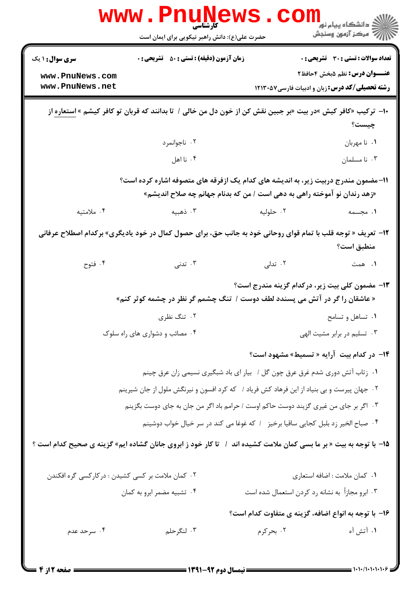|                                                                                                                                                               | WWW.FN<br><b>کارشناسی</b><br>حضرت علی(ع): دانش راهبر نیکویی برای ایمان است                                   |                                                 | ن دانشگاه پيام نو <mark>ر</mark><br>ر آمرڪز آزمون وسنڊش |  |
|---------------------------------------------------------------------------------------------------------------------------------------------------------------|--------------------------------------------------------------------------------------------------------------|-------------------------------------------------|---------------------------------------------------------|--|
| <b>سری سوال :</b> ۱ یک                                                                                                                                        | <b>زمان آزمون (دقیقه) : تستی : 50 ٪ تشریحی : 0</b>                                                           |                                                 | <b>تعداد سوالات : تستی : 30 ٪ تشریحی : 0</b>            |  |
| www.PnuNews.com                                                                                                                                               |                                                                                                              |                                                 | <b>عنـــوان درس:</b> نظم ۵بخش ۴حافظ۲                    |  |
| www.PnuNews.net                                                                                                                                               |                                                                                                              |                                                 | <b>رشته تحصیلی/کد درس:</b> زبان و ادبیات فارسی۵۷×۱۲۱۳۰  |  |
| ∙ا–  ترکیب «کافر کیش »در بیت «بر جبین نقش کن از خون دل من خالی /  تا بدانند که قربان تو کافر کیشم » استعاره از<br>چیست؟                                       |                                                                                                              |                                                 |                                                         |  |
|                                                                                                                                                               | ۰۲ ناجوانمرد                                                                                                 |                                                 | ٠١ نا مهربان                                            |  |
|                                                                                                                                                               | ۰۴ نا اهل                                                                                                    |                                                 | ۰۳ نا مسلمان                                            |  |
| 11–مضمون مندرج دربیت زیر، به اندیشه های کدام یک ازفرقه های متصوفه اشاره کرده است؟<br>«زهد رندان نو آموخته راهی به دهی است / من که بدنام جهانم چه صلاح اندیشم» |                                                                                                              |                                                 |                                                         |  |
| ۰۴ ملامتیه                                                                                                                                                    | ۰۳ ذهبیه                                                                                                     | ۰۲ حلوليه                                       | ۰۱ مجسمه                                                |  |
|                                                                                                                                                               |                                                                                                              |                                                 |                                                         |  |
|                                                                                                                                                               | ۱۲- تعریف « توجه قلب با تمام قوای روحانی خود به جانب حق، برای حصول کمال در خود یادیگری» برکدام اصطلاح عرفانی |                                                 | منطبق است؟                                              |  |
| ۰۴ فتوح                                                                                                                                                       | ۰۳ تدنی                                                                                                      | ۰۲ تدلی                                         | ۰۱ همت                                                  |  |
|                                                                                                                                                               | « عاشقان را گر در آتش می پسندد لطف دوست /  تنگ چشمم گر نظر در چشمه کوثر کنم»                                 |                                                 | <b>۱۳</b> - مضمون کلی بیت زیر، درکدام گزینه مندرج است؟  |  |
|                                                                                                                                                               | ۰۲ تنگ نظری                                                                                                  |                                                 | ۰۱ تساهل و تسامح                                        |  |
|                                                                                                                                                               | ۰۴ مصائب و دشواری های راه سلوک                                                                               |                                                 | ۰۳ تسلیم در برابر مشیت الهی                             |  |
|                                                                                                                                                               |                                                                                                              |                                                 | 1۴- در کدام بیت آرایه « تسمیط» مشهود است؟               |  |
|                                                                                                                                                               | ۰۱ زتاب آتش دوری شدم غرق عرق چون گل / بیار ای باد شبگیری نسیمی زان عرق چینم                                  |                                                 |                                                         |  |
|                                                                                                                                                               | ۰۲ جهان پیرست و بی بنیاد از این فرهاد کش فریاد / که کرد افسون و نیرنگش ملول از جان شیرینم                    |                                                 |                                                         |  |
|                                                                                                                                                               | ۰۳ اگر بر جای من غیری گزیند دوست حاکم اوست / حرامم باد اگر من جان به جای دوست بگزینم                         |                                                 |                                                         |  |
| ۰۴ صباح الخير زد بلبل كجايي ساقيا برخيز ۱ كه غوغا مي كند در سر خيال خواب دوشينم                                                                               |                                                                                                              |                                                 |                                                         |  |
| 1۵- با توجه به بیت « بر ما بسی کمان ملامت کشیده اند ۱ آتا کار خود ز ابروی جانان گشاده ایم» گزینه ی صحیح کدام است ؟                                            |                                                                                                              |                                                 |                                                         |  |
| ۰۲ کمان ملامت بر کسی کشیدن : درکارکسی گره افکندن                                                                                                              |                                                                                                              |                                                 | ٠١ كمان ملامت : اضافه استعارى                           |  |
|                                                                                                                                                               | ۰۴ تشبیه مضمر ابرو به کمان                                                                                   | ۰۳ ابرو مجازاً به نشانه رد کردن استعمال شده است |                                                         |  |
| ۱۶- با توجه به انواع اضافه، گزینه ی متفاوت کدام است؟                                                                                                          |                                                                                                              |                                                 |                                                         |  |
| ۰۴ سرحد عدم                                                                                                                                                   | ۰۳ لنگرحلم                                                                                                   | ۰۲ بحرکرم                                       | ۱. آتش آه                                               |  |
|                                                                                                                                                               |                                                                                                              |                                                 |                                                         |  |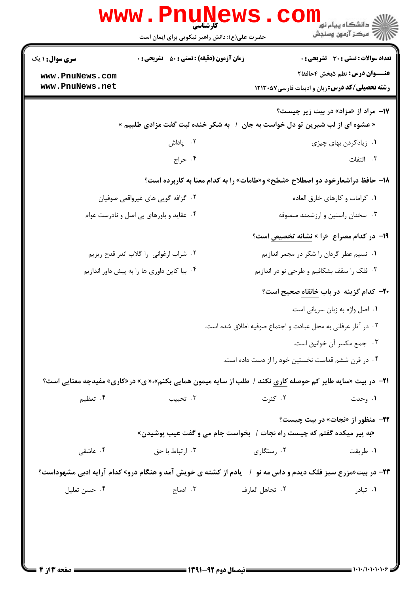| www.rnu̯ne                                                                                                         | حضرت علی(ع): دانش راهبر نیکویی برای ایمان است      |                                                                                     | ڪ دانشڪاه پيا <sub>م</sub> نور<br>۾ مرڪز آزمون وسنجش                          |
|--------------------------------------------------------------------------------------------------------------------|----------------------------------------------------|-------------------------------------------------------------------------------------|-------------------------------------------------------------------------------|
| <b>سری سوال : ۱ یک</b><br>www.PnuNews.com<br>www.PnuNews.net                                                       | <b>زمان آزمون (دقیقه) : تستی : 50 ٪ تشریحی : 0</b> | <b>رشته تحصیلی/کد درس:</b> زبان و ادبیات فارسی7۱۳۰۵۷                                | تعداد سوالات : تستي : 30 ٪ تشريحي : 0<br><b>عنـــوان درس:</b> نظم ۵بخش ۴حافظ۲ |
|                                                                                                                    | به شکر خنده لبت گفت مزادی طلبیم »                  | « عشوه ای از لب شیرین تو دل خواست به جان                                            | <b>۱۷</b> - مراد از «مزاد» در بیت زیر چیست؟                                   |
|                                                                                                                    | ۰۲ پاداش                                           |                                                                                     | ۰۱ زیادکردن بهای چیزی                                                         |
|                                                                                                                    | ۰۴ حراج                                            |                                                                                     | ۰۳ التفات                                                                     |
|                                                                                                                    |                                                    | <b>۱۸- حافظ دراشعارخود دو اصطلاح «شطح» و«طامات» را به کدام معنا به کاربرده است؟</b> |                                                                               |
| ۰۲ گزافه گویی های غیرواقعی صوفیان                                                                                  |                                                    |                                                                                     | ٠١ كرامات و كارهاى خارق العاده                                                |
| ۰۴ عقاید و باورهای بی اصل و نادرست عوام                                                                            |                                                    |                                                                                     | ۰۳ سخنان راستین و ارزشمند متصوفه                                              |
|                                                                                                                    |                                                    | ۱۹- در کدام مصراع  «را » نشانه تخصیص است؟                                           |                                                                               |
| ۰۲ شراب ارغوانی را گلاب اندر قدح ریزیم                                                                             |                                                    | ٠١ نسيم عطر گردان را شكر در مجمر اندازيم                                            |                                                                               |
| ۰۴ بیا کاین داوری ها را به پیش داور اندازیم                                                                        |                                                    | ۰۳ فلک را سقف بشکافیم و طرحی نو در اندازیم                                          |                                                                               |
|                                                                                                                    |                                                    | +۲- کدام گزینه در باب خانقاه صحیح است؟                                              |                                                                               |
|                                                                                                                    |                                                    |                                                                                     | ۰۱ اصل واژه به زبان سریانی است.                                               |
|                                                                                                                    |                                                    | ۰۲ در آثار عرفانی به محل عبادت و اجتماع صوفیه اطلاق شده است.                        |                                                                               |
|                                                                                                                    |                                                    |                                                                                     | ٠٣ جمع مكسر آن خوانيق است.                                                    |
|                                                                                                                    |                                                    | ۰۴ در قرن ششم قداست نخستین خود را از دست داده است.                                  |                                                                               |
| <b>۲۱</b> - در بیت «سایه طایر کم حوصله کاری نکند / طلب از سایه میمون همایی بکنم»،« ی» در«کاری» مفیدچه معنایی است؟  |                                                    |                                                                                     |                                                                               |
| ۰۴ تعظیم                                                                                                           | ۰۳ تحبيب                                           | ۰۲ کثرت                                                                             | ۰۱ وحدت                                                                       |
|                                                                                                                    |                                                    |                                                                                     | <b>۲۲-</b> منظور از «نجات» در بیت چیست؟                                       |
|                                                                                                                    |                                                    | «به پیر میکده گفتم که چیست راه نجات /  بخواست جام می و گفت عیب پوشیدن»              |                                                                               |
| ۰۴ عاشقی                                                                                                           | ۰۳ ارتباط با حق                                    | ۰۲ رستگاری                                                                          | ۰۱ طريقت                                                                      |
| <b>۲۳</b> - در بیت«مزرع سبز فلک دیدم و داس مه نو ۱٪ یادم از کشته ی خویش آمد و هنگام درو» کدام آرایه ادبی مشهوداست؟ |                                                    |                                                                                     |                                                                               |
| ۰۴ حسن تعليل                                                                                                       | ۰۳ ادماج                                           | ٠٢ تجاهل العارف                                                                     | ۰۱ تبادر                                                                      |
|                                                                                                                    | $=$ 1421 av  H $=$                                 |                                                                                     | 1.1.1.1.1.1.9                                                                 |